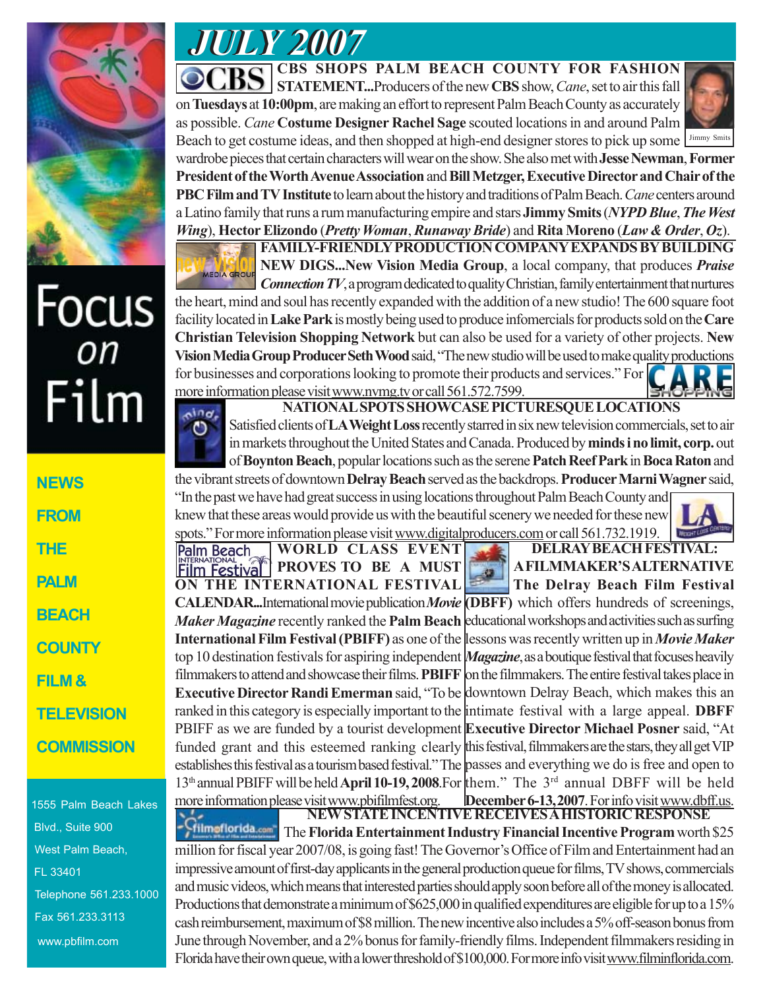

# Focus<br><sub>on</sub> Film

1555 Palm Beach Lakes Blvd., Suite 900 West Palm Beach, FL 33401 Telephone 561.233.1000 Fax 561.233.3113 www.pbfilm.com

*JULY 2007 JULY 2007*

**CBS SHOPS PALM BEACH COUNTY FOR FASHION STATEMENT...**Producers of the new **CBS** show, *Cane*, set to air this fall

on **Tuesdays** at **10:00pm**, are making an effort to represent Palm Beach County as accurately as possible. *Cane* **Costume Designer Rachel Sage** scouted locations in and around Palm Beach to get costume ideas, and then shopped at high-end designer stores to pick up some I Jimmy Smits



wardrobe pieces that certain characters will wear on the show. She also met with **Jesse Newman**, **Former President of the Worth Avenue Association** and **Bill Metzger, Executive Director and Chair of the PBC Film and TV Institute** to learn about the history and traditions of Palm Beach. *Cane* centers around a Latino family that runs a rum manufacturing empire and stars **Jimmy Smits** (*NYPD Blue*, *The West Wing*), **Hector Elizondo** (*Pretty Woman*, *Runaway Bride*) and **Rita Moreno** (*Law & Order*, *Oz*).



**FAMILY-FRIENDLY PRODUCTION COMPANY EXPANDS BY BUILDING NEW DIGS...New Vision Media Group**, a local company, that produces *Praise Connection TV*, a program dedicated to quality Christian, family entertainment that nurtures

the heart, mind and soul has recently expanded with the addition of a new studio! The 600 square foot facility located in **Lake Park** is mostly being used to produce infomercials for products sold on the **Care Christian Television Shopping Network** but can also be used for a variety of other projects. **New Vision Media Group Producer Seth Wood** said, "The new studio will be used to make quality productions for businesses and corporations looking to promote their products and services." For more information please visit www.nvmg.tv or call 561.572.7599.



**NATIONAL SPOTS SHOWCASE PICTURESQUE LOCATIONS**

Satisfied clients of **LA Weight Loss** recently starred in six new television commercials, set to air in markets throughout the United States and Canada. Produced by **minds i no limit, corp.** out of **Boynton Beach**, popular locations such as the serene **Patch Reef Park** in **Boca Raton** and

the vibrant streets of downtown **Delray Beach** served as the backdrops. **Producer Marni Wagner** said, "In the past we have had great success in using locations throughout Palm Beach County and knew that these areas would provide us with the beautiful scenery we needed for these new spots." For more information please visit www.digitalproducers.com or call 561.732.1919.

**WORLD CLASS EVENT Palm Beach PROVES TO BE A MUST Film Festival ON THE INTERNATIONAL FESTIVAL CALENDAR...**International movie publication *Movie* **(DBFF)** which offers hundreds of screenings, *Maker Magazine* recently ranked the **Palm Beach** educational workshops and activities such as surfing **International Film Festival (PBIFF)** as one of the lessons was recently written up in *Movie Maker* top 10 destination festivals for aspiring independent *Magazine*, as a boutique festival that focuses heavily filmmakers to attend and showcase their films. **PBIFF** on the filmmakers. The entire festival takes place in **Executive Director Randi Emerman** said, "To be downtown Delray Beach, which makes this an ranked in this category is especially important to the intimate festival with a large appeal. **DBFF** PBIFF as we are funded by a tourist development **Executive Director Michael Posner** said, "At funded grant and this esteemed ranking clearly this festival, filmmakers are the stars, they all get VIP establishes this festival as a tourism based festival." The passes and everything we do is free and open to 13th annual PBIFF will be held **April 10-19, 2008**.For them." The 3rd annual DBFF will be held more information please visit www.pbifilmfest.org. December 6-13, 2007. For info visit www.dbff.us.

## **DELRAY BEACH FESTIVAL: A FILMMAKER'S ALTERNATIVE The Delray Beach Film Festival**

**NEW STATE INCENTIVE RECEIVES A HISTORIC RESPONSE** The **Florida Entertainment Industry Financial Incentive Program** worth \$25 million for fiscal year 2007/08, is going fast! The Governor's Office of Film and Entertainment had an impressive amount of first-day applicants in the general production queue for films, TV shows, commercials and music videos, which means that interested parties should apply soon before all of the money is allocated. Productions that demonstrate a minimum of \$625,000 in qualified expenditures are eligible for up to a 15% cash reimbursement, maximum of \$8 million. The new incentive also includes a 5% off-season bonus from June through November, and a 2% bonus for family-friendly films. Independent filmmakers residing in Florida have their own queue, with a lower threshold of \$100,000. For more info visit www.filminflorida.com.